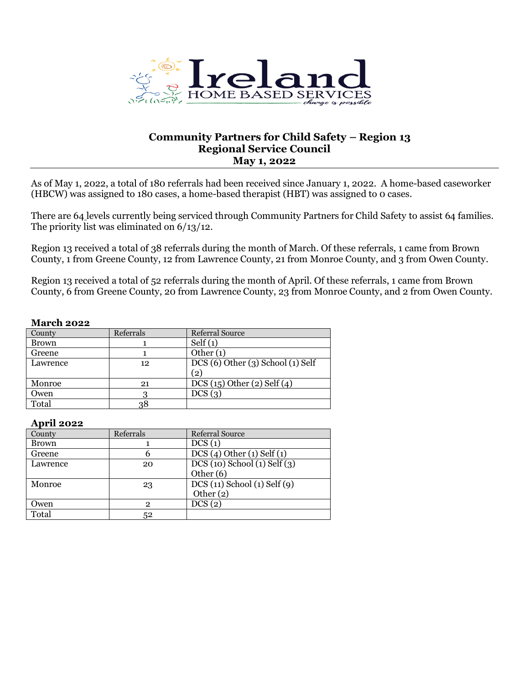

# **Community Partners for Child Safety – Region 13 Regional Service Council May 1, 2022**

As of May 1, 2022, a total of 180 referrals had been received since January 1, 2022. A home-based caseworker (HBCW) was assigned to 180 cases, a home-based therapist (HBT) was assigned to 0 cases.

There are 64 levels currently being serviced through Community Partners for Child Safety to assist 64 families. The priority list was eliminated on 6/13/12.

Region 13 received a total of 38 referrals during the month of March. Of these referrals, 1 came from Brown County, 1 from Greene County, 12 from Lawrence County, 21 from Monroe County, and 3 from Owen County.

Region 13 received a total of 52 referrals during the month of April. Of these referrals, 1 came from Brown County, 6 from Greene County, 20 from Lawrence County, 23 from Monroe County, and 2 from Owen County.

#### **March 2022**

| County       | Referrals | <b>Referral Source</b>                 |
|--------------|-----------|----------------------------------------|
| <b>Brown</b> |           | Self(1)                                |
| Greene       |           | Other $(1)$                            |
| Lawrence     | 12        | $DCS(6)$ Other $(3)$ School $(1)$ Self |
|              |           | (2)                                    |
| Monroe       | 21        | DCS(15) Other(2) Self(4)               |
| Owen         |           | DCS(3)                                 |
| Total        | 38        |                                        |

#### **April 2022**

| County       | Referrals      | Referral Source                   |
|--------------|----------------|-----------------------------------|
| <b>Brown</b> |                | DCS(1)                            |
| Greene       | b              | DCS(4) Other(1) Self(1)           |
| Lawrence     | 20             | $DCS(10)$ School $(1)$ Self $(3)$ |
|              |                | Other $(6)$                       |
| Monroe       | 23             | $DCS(11)$ School $(1)$ Self $(9)$ |
|              |                | Other $(2)$                       |
| Owen         | $\overline{2}$ | DCS(2)                            |
| Total        | 52             |                                   |